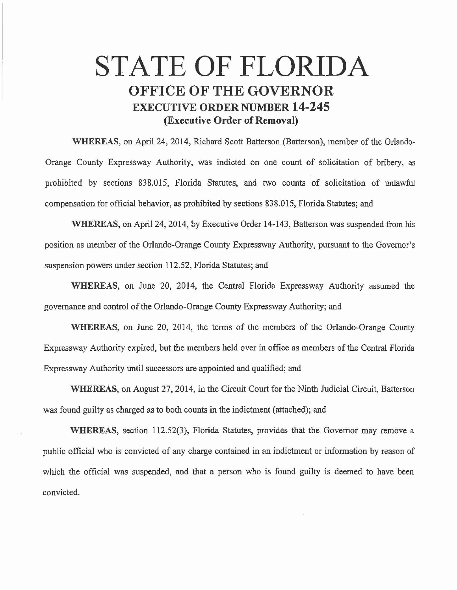## **STATE OF FLORIDA OFFICE OF THE GOVERNOR EXECUTIVE ORDER NUMBER 14-245 (Executive Order of Removal)**

**WHEREAS,** on April 24, 2014, Richard Scott Batterson (Batterson), member of the Orlando-Orange County Expressway Authority, was indicted on one count of solicitation of bribery, as prohibited by sections 838.015, Florida Statutes, and two counts of solicitation of unlawful compensation for official behavior, as prohibited by sections 838.015, Florida Statutes; and

**WHEREAS,** on April 24, 2014, by Executive Order 14-143, Batterson was suspended from his position as member of the Orlando-Orange County Expressway Authority, pursuant to the Governor's suspension powers under section 112.52, Florida Statutes; and

**WHEREAS,** on June 20, 2014, the Central Florida Expressway Authority assumed the governance and control of the Orlando-Orange County Expressway Authority; and

**WHEREAS,** on June 20, 2014, the terms of the members of the Orlando-Orange County Expressway Authority expired, but the members held over in office as members of the Central Florida Expressway Authority until successors are appointed and qualified; and

**WHEREAS,** on August 27, 2014, in the Circuit Court for the Ninth Judicial Circuit, Batterson was found guilty as charged as to both counts in the indictment (attached); and

**WHEREAS,** section 112.52(3), Florida Statutes, provides that the Governor may remove a public official who is convicted of any charge contained in an indictment or information by reason of which the official was suspended, and that a person who is found guilty is deemed to have been convicted.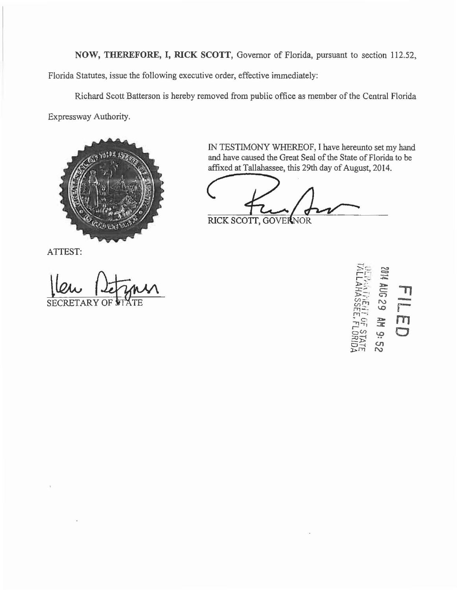**NOW, THEREFORE, I, RICK SCOTT,** Governor of Florida, pursuant to section 112.52,

Florida Statutes, issue the following executive order, effective immediately:

Richard Scott Batterson is hereby removed from public office as member of the Central Florida Expressway Authority.



IN TESTIMONY WHEREOF, I have hereunto set my hand and have caused the Great Seal of the State of Florida to be affixed at Tallahassee, this 29th day of August, 2014.

RICK SCOTT, GOVERNOR

ATTEST:

**SECRE ARY O** 

**r** - 62 3N  $\overline{\overline{\phantom{a}}}\hspace{0.1cm}$  $rac{D}{\mathcal{X}}$ **0** ڝۣ  $25$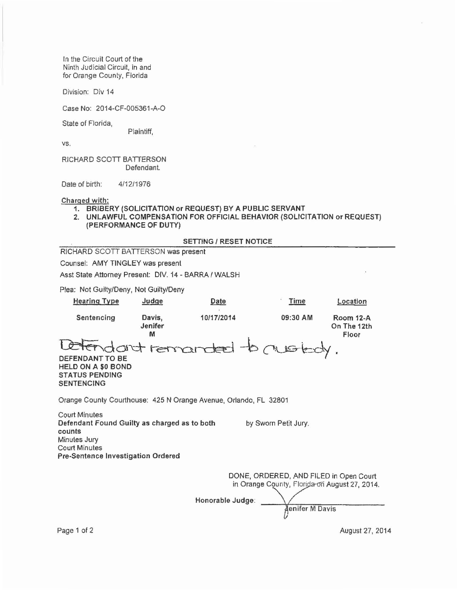In the Circuit Court of the Ninth Judicial Circuit, in and for Orange County, Florida

Division: Div 14

Case No: 2014-CF-005361-A-O

State of Florida,

Plaintiff,

VS.

RICHARD SCOTT BATfERSON Defendant.

Date of birth: 4/12/1976

Charged with:

- 1. BRIBERY (SOLICITATION or REQUEST) BY A PUBLIC SERVANT
- 2. UNLAWFUL COMPENSATION FOR OFFICIAL BEHAVIOR (SOLICITATION or REQUEST) (PERFORMANCE OF DUTY)

|                                                                                                                                                                                      |                        | <b>SETTING / RESET NOTICE</b> |                                                                                                            |                                   |
|--------------------------------------------------------------------------------------------------------------------------------------------------------------------------------------|------------------------|-------------------------------|------------------------------------------------------------------------------------------------------------|-----------------------------------|
| RICHARD SCOTT BATTERSON was present                                                                                                                                                  |                        |                               |                                                                                                            |                                   |
| Counsel: AMY TINGLEY was present                                                                                                                                                     |                        |                               |                                                                                                            |                                   |
| Asst State Attorney Present: DIV. 14 - BARRA / WALSH                                                                                                                                 |                        |                               |                                                                                                            |                                   |
| Plea: Not Guilty/Deny, Not Guilty/Deny                                                                                                                                               |                        |                               |                                                                                                            |                                   |
| <b>Hearing Type</b>                                                                                                                                                                  | Judge                  | Date                          | Time                                                                                                       | Location                          |
| Sentencing                                                                                                                                                                           | Davis,<br>Jenifer<br>M | 10/17/2014                    | 09:30 AM                                                                                                   | Room 12-A<br>On The 12th<br>Floor |
| dant remanded to mustedy.<br>DEFENDANT TO BE<br>HELD ON A \$0 BOND<br><b>STATUS PENDING</b><br><b>SENTENCING</b><br>Orange Counly Courthouse: 425 N Orange Avenue, Orlando, FL 32801 |                        |                               |                                                                                                            |                                   |
| <b>Court Minutes</b><br>Defendant Found Guilty as charged as to both<br>counts<br>Minutes Jury<br><b>Court Minutes</b><br>Pre-Sentence Investigation Ordered                         |                        |                               | by Sworn Petit Jury.                                                                                       |                                   |
|                                                                                                                                                                                      |                        | Honorable Judge:              | DONE, ORDERED, AND FILED in Open Court<br>in Orange County, Florida on August 27, 2014.<br>denifer M Davis |                                   |

Page 1 of 2 August 27, 2014